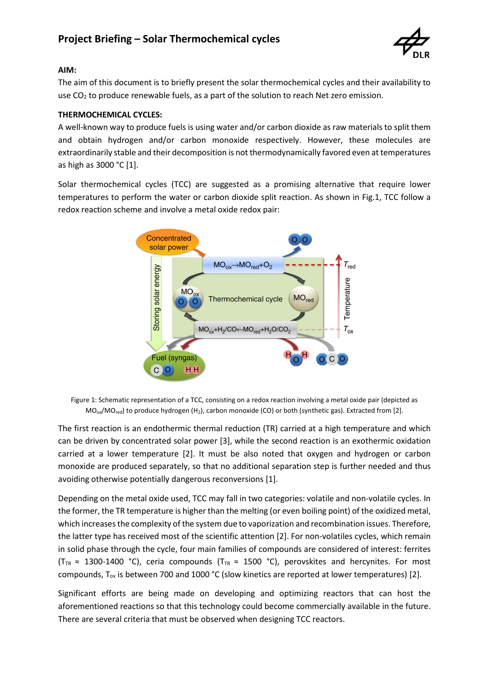

## **AIM:**

The aim of this document is to briefly present the solar thermochemical cycles and their availability to use  $CO<sub>2</sub>$  to produce renewable fuels, as a part of the solution to reach Net zero emission.

## **THERMOCHEMICAL CYCLES:**

A well-known way to produce fuels is using water and/or carbon dioxide as raw materials to split them and obtain hydrogen and/or carbon monoxide respectively. However, these molecules are extraordinarily stable and their decomposition is not thermodynamically favored even at temperatures as high as 3000 °C [1].

Solar thermochemical cycles (TCC) are suggested as a promising alternative that require lower temperatures to perform the water or carbon dioxide split reaction. As shown in Fig.1, TCC follow a redox reaction scheme and involve a metal oxide redox pair:



Figure 1: Schematic representation of a TCC, consisting on a redox reaction involving a metal oxide pair (depicted as  $MO_{ox}/MO_{red}$ ) to produce hydrogen (H<sub>2</sub>), carbon monoxide (CO) or both (synthetic gas). Extracted from [2].

The first reaction is an endothermic thermal reduction (TR) carried at a high temperature and which can be driven by concentrated solar power [3], while the second reaction is an exothermic oxidation carried at a lower temperature [2]. It must be also noted that oxygen and hydrogen or carbon monoxide are produced separately, so that no additional separation step is further needed and thus avoiding otherwise potentially dangerous reconversions [1].

Depending on the metal oxide used, TCC may fall in two categories: volatile and non-volatile cycles. In the former, the TR temperature is higher than the melting (or even boiling point) of the oxidized metal, which increases the complexity of the system due to vaporization and recombination issues. Therefore, the latter type has received most of the scientific attention [2]. For non-volatiles cycles, which remain in solid phase through the cycle, four main families of compounds are considered of interest: ferrites (T<sub>TR</sub>  $\approx$  1300-1400 °C), ceria compounds (T<sub>TR</sub>  $\approx$  1500 °C), perovskites and hercynites. For most compounds,  $T_{ox}$  is between 700 and 1000 °C (slow kinetics are reported at lower temperatures) [2].

Significant efforts are being made on developing and optimizing reactors that can host the aforementioned reactions so that this technology could become commercially available in the future. There are several criteria that must be observed when designing TCC reactors.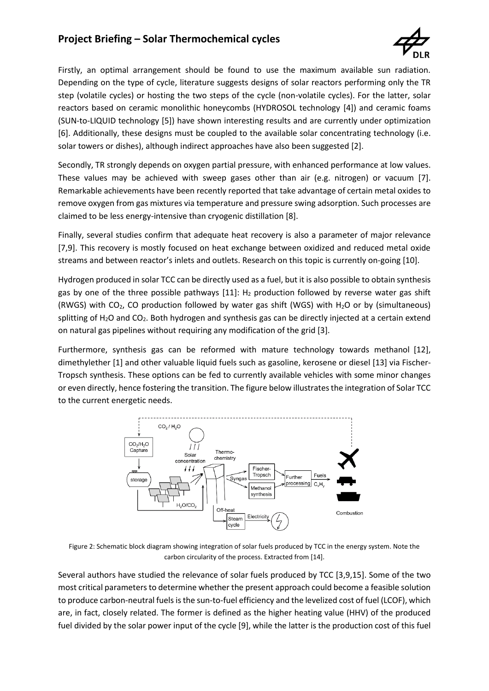# **Project Briefing – Solar Thermochemical cycles**



Firstly, an optimal arrangement should be found to use the maximum available sun radiation. Depending on the type of cycle, literature suggests designs of solar reactors performing only the TR step (volatile cycles) or hosting the two steps of the cycle (non-volatile cycles). For the latter, solar reactors based on ceramic monolithic honeycombs (HYDROSOL technology [4]) and ceramic foams (SUN-to-LIQUID technology [5]) have shown interesting results and are currently under optimization [6]. Additionally, these designs must be coupled to the available solar concentrating technology (i.e. solar towers or dishes), although indirect approaches have also been suggested [2].

Secondly, TR strongly depends on oxygen partial pressure, with enhanced performance at low values. These values may be achieved with sweep gases other than air (e.g. nitrogen) or vacuum [7]. Remarkable achievements have been recently reported that take advantage of certain metal oxides to remove oxygen from gas mixtures via temperature and pressure swing adsorption. Such processes are claimed to be less energy-intensive than cryogenic distillation [8].

Finally, several studies confirm that adequate heat recovery is also a parameter of major relevance [7,9]. This recovery is mostly focused on heat exchange between oxidized and reduced metal oxide streams and between reactor's inlets and outlets. Research on this topic is currently on-going [10].

Hydrogen produced in solar TCC can be directly used as a fuel, but it is also possible to obtain synthesis gas by one of the three possible pathways  $[11]$ : H<sub>2</sub> production followed by reverse water gas shift (RWGS) with  $CO<sub>2</sub>$ , CO production followed by water gas shift (WGS) with H<sub>2</sub>O or by (simultaneous) splitting of  $H_2O$  and  $CO_2$ . Both hydrogen and synthesis gas can be directly injected at a certain extend on natural gas pipelines without requiring any modification of the grid [3].

Furthermore, synthesis gas can be reformed with mature technology towards methanol [12], dimethylether [1] and other valuable liquid fuels such as gasoline, kerosene or diesel [13] via Fischer-Tropsch synthesis. These options can be fed to currently available vehicles with some minor changes or even directly, hence fostering the transition. The figure below illustrates the integration of Solar TCC to the current energetic needs.



Figure 2: Schematic block diagram showing integration of solar fuels produced by TCC in the energy system. Note the carbon circularity of the process. Extracted from [14].

Several authors have studied the relevance of solar fuels produced by TCC [3,9,15]. Some of the two most critical parameters to determine whether the present approach could become a feasible solution to produce carbon-neutral fuels is the sun-to-fuel efficiency and the levelized cost of fuel (LCOF), which are, in fact, closely related. The former is defined as the higher heating value (HHV) of the produced fuel divided by the solar power input of the cycle [9], while the latter is the production cost of this fuel